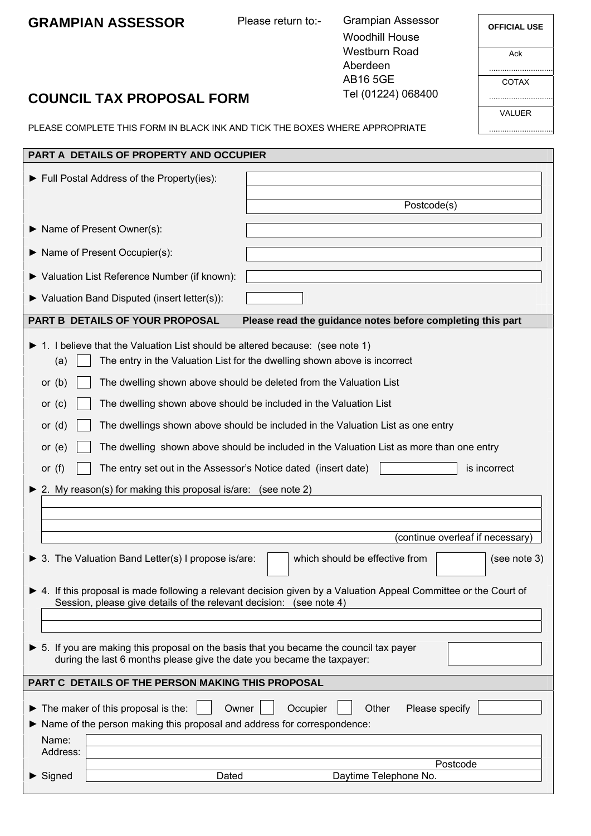# **GRAMPIAN ASSESSOR** Please return to:-

Grampian Assessor Woodhill House Westburn Road Aberdeen AB16 5GE Tel (01224) 068400

| <b>OFFICIAL USE</b> |
|---------------------|
| Ack                 |
| COTAX               |
| <b>VALUER</b>       |
|                     |

# **COUNCIL TAX PROPOSAL FORM**

PLEASE COMPLETE THIS FORM IN BLACK INK AND TICK THE BOXES WHERE APPROPRIATE

| <b>PART A DETAILS OF PROPERTY AND OCCUPIER</b>                                                                                                                                                                                                                                                                                                                                                                                                                                                                                                                                                                                                                                                            |                                                                   |                                                            |  |
|-----------------------------------------------------------------------------------------------------------------------------------------------------------------------------------------------------------------------------------------------------------------------------------------------------------------------------------------------------------------------------------------------------------------------------------------------------------------------------------------------------------------------------------------------------------------------------------------------------------------------------------------------------------------------------------------------------------|-------------------------------------------------------------------|------------------------------------------------------------|--|
|                                                                                                                                                                                                                                                                                                                                                                                                                                                                                                                                                                                                                                                                                                           | Full Postal Address of the Property(ies):                         | Postcode(s)                                                |  |
|                                                                                                                                                                                                                                                                                                                                                                                                                                                                                                                                                                                                                                                                                                           | Name of Present Owner(s):                                         |                                                            |  |
|                                                                                                                                                                                                                                                                                                                                                                                                                                                                                                                                                                                                                                                                                                           | Name of Present Occupier(s):                                      |                                                            |  |
|                                                                                                                                                                                                                                                                                                                                                                                                                                                                                                                                                                                                                                                                                                           | ▶ Valuation List Reference Number (if known):                     |                                                            |  |
|                                                                                                                                                                                                                                                                                                                                                                                                                                                                                                                                                                                                                                                                                                           | $\blacktriangleright$ Valuation Band Disputed (insert letter(s)): |                                                            |  |
|                                                                                                                                                                                                                                                                                                                                                                                                                                                                                                                                                                                                                                                                                                           | PART B DETAILS OF YOUR PROPOSAL                                   | Please read the guidance notes before completing this part |  |
| 1. I believe that the Valuation List should be altered because: (see note 1)<br>The entry in the Valuation List for the dwelling shown above is incorrect<br>(a)<br>The dwelling shown above should be deleted from the Valuation List<br>or $(b)$<br>The dwelling shown above should be included in the Valuation List<br>or $(c)$<br>The dwellings shown above should be included in the Valuation List as one entry<br>or $(d)$<br>The dwelling shown above should be included in the Valuation List as more than one entry<br>or $(e)$<br>is incorrect<br>or $(f)$<br>The entry set out in the Assessor's Notice dated (insert date)<br>2. My reason(s) for making this proposal is/are: (see note 2) |                                                                   |                                                            |  |
|                                                                                                                                                                                                                                                                                                                                                                                                                                                                                                                                                                                                                                                                                                           |                                                                   | (continue overleaf if necessary)                           |  |
|                                                                                                                                                                                                                                                                                                                                                                                                                                                                                                                                                                                                                                                                                                           | 3. The Valuation Band Letter(s) I propose is/are:                 | which should be effective from<br>(see note 3)             |  |
| $\triangleright$ 4. If this proposal is made following a relevant decision given by a Valuation Appeal Committee or the Court of<br>Session, please give details of the relevant decision: (see note 4)                                                                                                                                                                                                                                                                                                                                                                                                                                                                                                   |                                                                   |                                                            |  |
|                                                                                                                                                                                                                                                                                                                                                                                                                                                                                                                                                                                                                                                                                                           |                                                                   |                                                            |  |
| 5. If you are making this proposal on the basis that you became the council tax payer<br>during the last 6 months please give the date you became the taxpayer:                                                                                                                                                                                                                                                                                                                                                                                                                                                                                                                                           |                                                                   |                                                            |  |
| PART C DETAILS OF THE PERSON MAKING THIS PROPOSAL                                                                                                                                                                                                                                                                                                                                                                                                                                                                                                                                                                                                                                                         |                                                                   |                                                            |  |
| The maker of this proposal is the:<br>Other<br>Please specify<br>Owner<br>Occupier<br>▶                                                                                                                                                                                                                                                                                                                                                                                                                                                                                                                                                                                                                   |                                                                   |                                                            |  |
| ▶ Name of the person making this proposal and address for correspondence:                                                                                                                                                                                                                                                                                                                                                                                                                                                                                                                                                                                                                                 |                                                                   |                                                            |  |
| Name:<br>Address:                                                                                                                                                                                                                                                                                                                                                                                                                                                                                                                                                                                                                                                                                         |                                                                   |                                                            |  |
|                                                                                                                                                                                                                                                                                                                                                                                                                                                                                                                                                                                                                                                                                                           |                                                                   | Postcode                                                   |  |
| $\blacktriangleright$ Signed                                                                                                                                                                                                                                                                                                                                                                                                                                                                                                                                                                                                                                                                              | Dated                                                             | Daytime Telephone No.                                      |  |